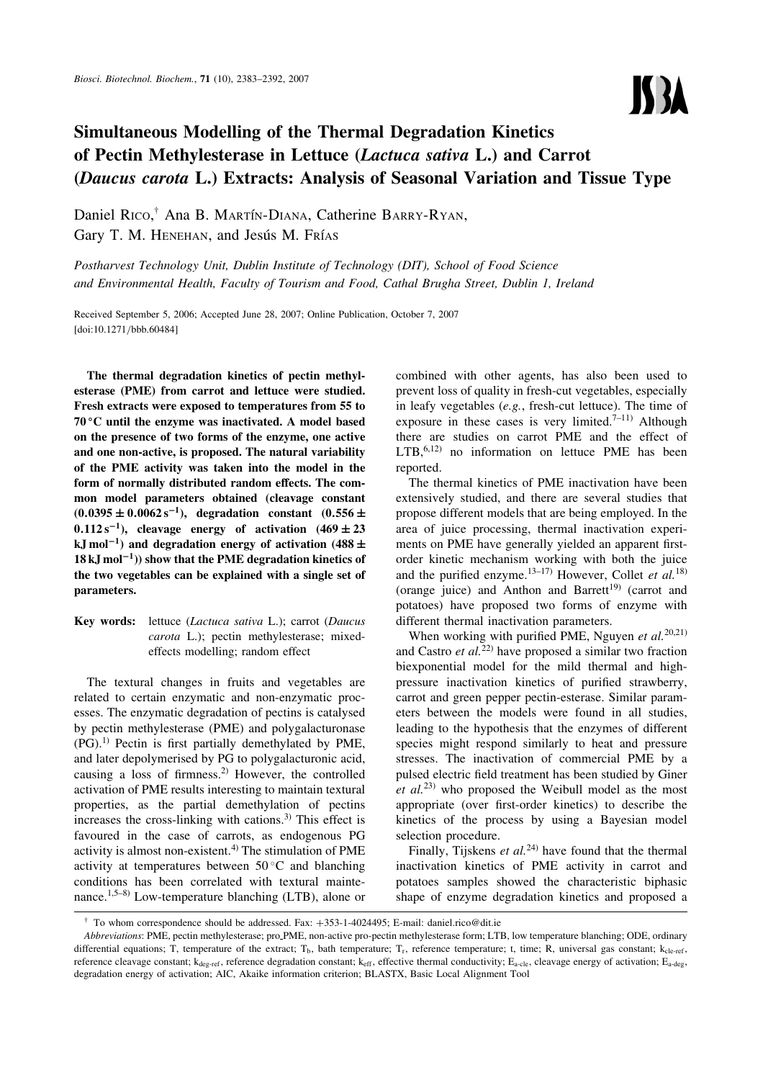# Simultaneous Modelling of the Thermal Degradation Kinetics of Pectin Methylesterase in Lettuce (Lactuca sativa L.) and Carrot (Daucus carota L.) Extracts: Analysis of Seasonal Variation and Tissue Type

Daniel Rico,<sup>†</sup> Ana B. Martín-Diana, Catherine Barry-Ryan, Gary T. M. HENEHAN, and Jesús M. Frías

Postharvest Technology Unit, Dublin Institute of Technology (DIT), School of Food Science and Environmental Health, Faculty of Tourism and Food, Cathal Brugha Street, Dublin 1, Ireland

Received September 5, 2006; Accepted June 28, 2007; Online Publication, October 7, 2007 [\[doi:10.1271/bbb.60484\]](http://dx.doi.org/10.1271/bbb.60484)

The thermal degradation kinetics of pectin methylesterase (PME) from carrot and lettuce were studied. Fresh extracts were exposed to temperatures from 55 to  $70^{\circ}$ C until the enzyme was inactivated. A model based on the presence of two forms of the enzyme, one active and one non-active, is proposed. The natural variability of the PME activity was taken into the model in the form of normally distributed random effects. The common model parameters obtained (cleavage constant  $(0.0395 \pm 0.0062 \,\mathrm{s}^{-1})$ , degradation constant  $(0.556 \pm 0.0062 \,\mathrm{s}^{-1})$  $0.112 s^{-1}$ ), cleavage energy of activation  $(469 \pm 23)$ kJ mol $^{-1}$ ) and degradation energy of activation (488  $\pm$  $18$  kJ mol<sup>-1</sup>)) show that the PME degradation kinetics of the two vegetables can be explained with a single set of parameters.

Key words: lettuce (Lactuca sativa L.); carrot (Daucus carota L.); pectin methylesterase; mixedeffects modelling; random effect

The textural changes in fruits and vegetables are related to certain enzymatic and non-enzymatic processes. The enzymatic degradation of pectins is catalysed by pectin methylesterase (PME) and polygalacturonase  $(PG)$ .<sup>1)</sup> Pectin is first partially demethylated by PME, and later depolymerised by PG to polygalacturonic acid, causing a loss of firmness.<sup>2)</sup> However, the controlled activation of PME results interesting to maintain textural properties, as the partial demethylation of pectins increases the cross-linking with cations.3) This effect is favoured in the case of carrots, as endogenous PG activity is almost non-existent. $4$ ) The stimulation of PME activity at temperatures between  $50^{\circ}$ C and blanching conditions has been correlated with textural maintenance.1,5–8) Low-temperature blanching (LTB), alone or

combined with other agents, has also been used to prevent loss of quality in fresh-cut vegetables, especially in leafy vegetables (e.g., fresh-cut lettuce). The time of exposure in these cases is very limited.<sup>7–11)</sup> Although there are studies on carrot PME and the effect of  $LTB$ ,  $6,12)$  no information on lettuce PME has been reported.

**ISBA** 

The thermal kinetics of PME inactivation have been extensively studied, and there are several studies that propose different models that are being employed. In the area of juice processing, thermal inactivation experiments on PME have generally yielded an apparent firstorder kinetic mechanism working with both the juice and the purified enzyme.<sup>13–17)</sup> However, Collet et al.<sup>18)</sup> (orange juice) and Anthon and Barrett<sup>19)</sup> (carrot and potatoes) have proposed two forms of enzyme with different thermal inactivation parameters.

When working with purified PME, Nguyen et  $al$ <sup>20,21)</sup> and Castro et  $al$ <sup>22)</sup> have proposed a similar two fraction biexponential model for the mild thermal and highpressure inactivation kinetics of purified strawberry, carrot and green pepper pectin-esterase. Similar parameters between the models were found in all studies, leading to the hypothesis that the enzymes of different species might respond similarly to heat and pressure stresses. The inactivation of commercial PME by a pulsed electric field treatment has been studied by Giner et  $al^{(23)}$  who proposed the Weibull model as the most appropriate (over first-order kinetics) to describe the kinetics of the process by using a Bayesian model selection procedure.

Finally, Tijskens et  $al^{(24)}$  have found that the thermal inactivation kinetics of PME activity in carrot and potatoes samples showed the characteristic biphasic shape of enzyme degradation kinetics and proposed a

<sup>&</sup>lt;sup>†</sup> To whom correspondence should be addressed. Fax:  $+353-1-4024495$ : E-mail: daniel.rico@dit.ie.

Abbreviations: PME, pectin methylesterase; pro PME, non-active pro-pectin methylesterase form; LTB, low temperature blanching; ODE, ordinary differential equations; T, temperature of the extract; T<sub>b</sub>, bath temperature; T<sub>r</sub>, reference temperature; t, time; R, universal gas constant;  $k_{cle-ref}$ , reference cleavage constant;  $k_{deg-ref}$ , reference degradation constant;  $k_{eff}$ , effective thermal conductivity;  $E_{a-cle}$ , cleavage energy of activation;  $E_{a-deg}$ , degradation energy of activation; AIC, Akaike information criterion; BLASTX, Basic Local Alignment Tool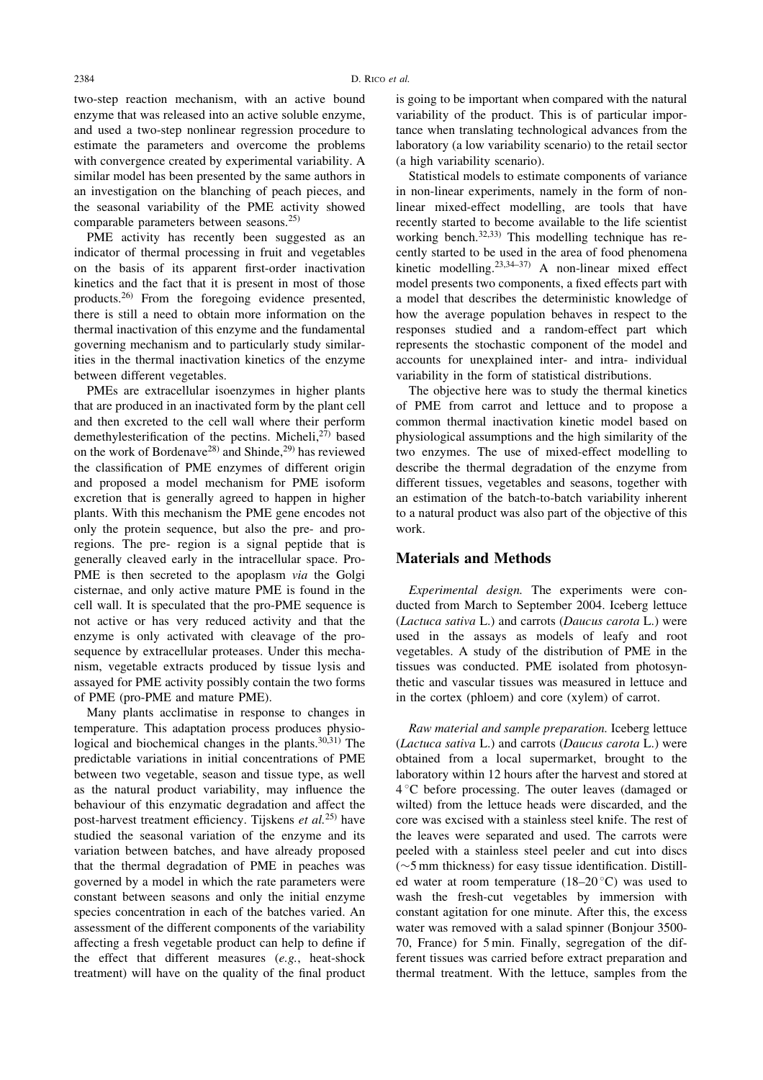two-step reaction mechanism, with an active bound enzyme that was released into an active soluble enzyme, and used a two-step nonlinear regression procedure to estimate the parameters and overcome the problems with convergence created by experimental variability. A similar model has been presented by the same authors in an investigation on the blanching of peach pieces, and the seasonal variability of the PME activity showed comparable parameters between seasons.<sup>25)</sup>

PME activity has recently been suggested as an indicator of thermal processing in fruit and vegetables on the basis of its apparent first-order inactivation kinetics and the fact that it is present in most of those products.26) From the foregoing evidence presented, there is still a need to obtain more information on the thermal inactivation of this enzyme and the fundamental governing mechanism and to particularly study similarities in the thermal inactivation kinetics of the enzyme between different vegetables.

PMEs are extracellular isoenzymes in higher plants that are produced in an inactivated form by the plant cell and then excreted to the cell wall where their perform demethylesterification of the pectins. Micheli,<sup>27)</sup> based on the work of Bordenave<sup>28)</sup> and Shinde,<sup>29)</sup> has reviewed the classification of PME enzymes of different origin and proposed a model mechanism for PME isoform excretion that is generally agreed to happen in higher plants. With this mechanism the PME gene encodes not only the protein sequence, but also the pre- and proregions. The pre- region is a signal peptide that is generally cleaved early in the intracellular space. Pro-PME is then secreted to the apoplasm via the Golgi cisternae, and only active mature PME is found in the cell wall. It is speculated that the pro-PME sequence is not active or has very reduced activity and that the enzyme is only activated with cleavage of the prosequence by extracellular proteases. Under this mechanism, vegetable extracts produced by tissue lysis and assayed for PME activity possibly contain the two forms of PME (pro-PME and mature PME).

Many plants acclimatise in response to changes in temperature. This adaptation process produces physiological and biochemical changes in the plants.<sup>30,31)</sup> The predictable variations in initial concentrations of PME between two vegetable, season and tissue type, as well as the natural product variability, may influence the behaviour of this enzymatic degradation and affect the post-harvest treatment efficiency. Tijskens et al.<sup>25)</sup> have studied the seasonal variation of the enzyme and its variation between batches, and have already proposed that the thermal degradation of PME in peaches was governed by a model in which the rate parameters were constant between seasons and only the initial enzyme species concentration in each of the batches varied. An assessment of the different components of the variability affecting a fresh vegetable product can help to define if the effect that different measures (e.g., heat-shock treatment) will have on the quality of the final product

is going to be important when compared with the natural variability of the product. This is of particular importance when translating technological advances from the laboratory (a low variability scenario) to the retail sector (a high variability scenario).

Statistical models to estimate components of variance in non-linear experiments, namely in the form of nonlinear mixed-effect modelling, are tools that have recently started to become available to the life scientist working bench.<sup>32,33)</sup> This modelling technique has recently started to be used in the area of food phenomena kinetic modelling.<sup>23,34–37)</sup> A non-linear mixed effect model presents two components, a fixed effects part with a model that describes the deterministic knowledge of how the average population behaves in respect to the responses studied and a random-effect part which represents the stochastic component of the model and accounts for unexplained inter- and intra- individual variability in the form of statistical distributions.

The objective here was to study the thermal kinetics of PME from carrot and lettuce and to propose a common thermal inactivation kinetic model based on physiological assumptions and the high similarity of the two enzymes. The use of mixed-effect modelling to describe the thermal degradation of the enzyme from different tissues, vegetables and seasons, together with an estimation of the batch-to-batch variability inherent to a natural product was also part of the objective of this work.

# Materials and Methods

Experimental design. The experiments were conducted from March to September 2004. Iceberg lettuce (Lactuca sativa L.) and carrots (Daucus carota L.) were used in the assays as models of leafy and root vegetables. A study of the distribution of PME in the tissues was conducted. PME isolated from photosynthetic and vascular tissues was measured in lettuce and in the cortex (phloem) and core (xylem) of carrot.

Raw material and sample preparation. Iceberg lettuce (Lactuca sativa L.) and carrots (Daucus carota L.) were obtained from a local supermarket, brought to the laboratory within 12 hours after the harvest and stored at 4 C before processing. The outer leaves (damaged or wilted) from the lettuce heads were discarded, and the core was excised with a stainless steel knife. The rest of the leaves were separated and used. The carrots were peeled with a stainless steel peeler and cut into discs  $(\sim)$ 5 mm thickness) for easy tissue identification. Distilled water at room temperature  $(18-20\degree C)$  was used to wash the fresh-cut vegetables by immersion with constant agitation for one minute. After this, the excess water was removed with a salad spinner (Bonjour 3500- 70, France) for 5 min. Finally, segregation of the different tissues was carried before extract preparation and thermal treatment. With the lettuce, samples from the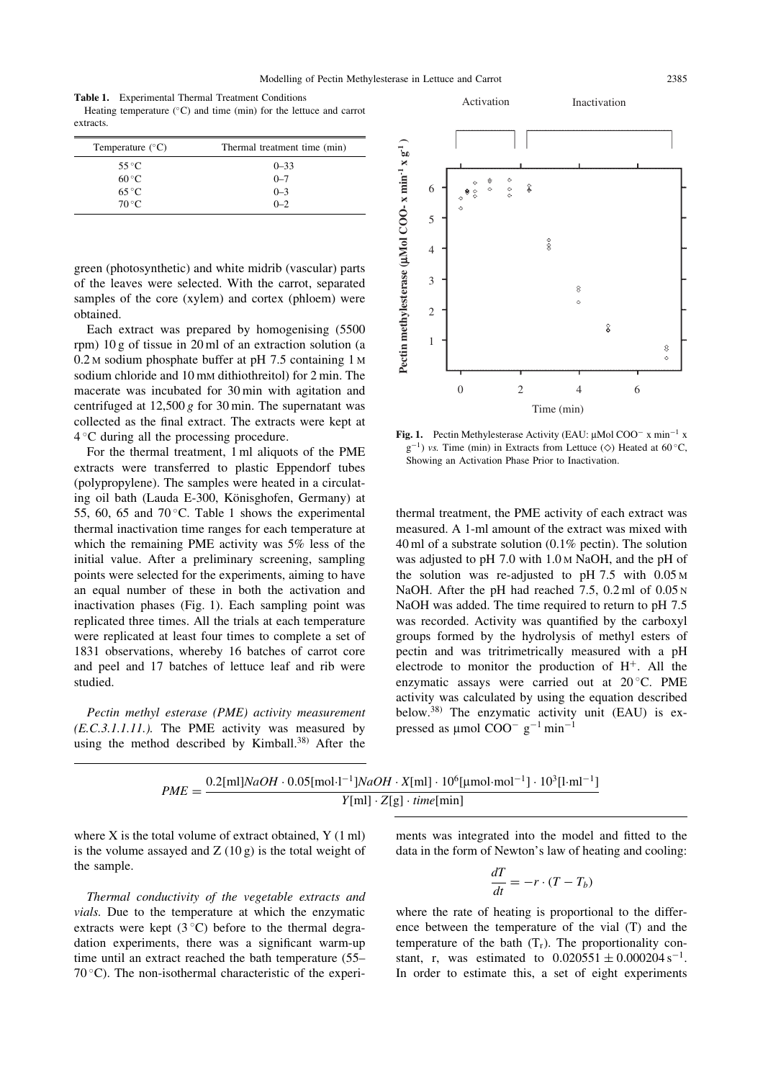Table 1. Experimental Thermal Treatment Conditions Heating temperature  $(^{\circ}C)$  and time (min) for the lettuce and carrot extracts.

| Temperature $(^{\circ}C)$ | Thermal treatment time (min) |  |
|---------------------------|------------------------------|--|
| $55^{\circ}$ C            | $0 - 33$                     |  |
| $60^{\circ}$ C            | $0 - 7$                      |  |
| $65^{\circ}$ C            | $0 - 3$                      |  |
| $70^{\circ}$ C            | $0 - 2$                      |  |

green (photosynthetic) and white midrib (vascular) parts of the leaves were selected. With the carrot, separated samples of the core (xylem) and cortex (phloem) were obtained.

Each extract was prepared by homogenising (5500 rpm) 10 g of tissue in 20 ml of an extraction solution (a 0.2 M sodium phosphate buffer at pH 7.5 containing 1 M sodium chloride and 10 mm dithiothreitol) for 2 min. The macerate was incubated for 30 min with agitation and centrifuged at  $12,500 g$  for 30 min. The supernatant was collected as the final extract. The extracts were kept at  $4^{\circ}$ C during all the processing procedure.

For the thermal treatment, 1 ml aliquots of the PME extracts were transferred to plastic Eppendorf tubes (polypropylene). The samples were heated in a circulating oil bath (Lauda E-300, Könisghofen, Germany) at 55, 60, 65 and 70 $\degree$ C. Table 1 shows the experimental thermal inactivation time ranges for each temperature at which the remaining PME activity was 5% less of the initial value. After a preliminary screening, sampling points were selected for the experiments, aiming to have an equal number of these in both the activation and inactivation phases (Fig. 1). Each sampling point was replicated three times. All the trials at each temperature were replicated at least four times to complete a set of 1831 observations, whereby 16 batches of carrot core and peel and 17 batches of lettuce leaf and rib were studied.

Pectin methyl esterase (PME) activity measurement  $(E.C.3.1.1.11.)$ . The PME activity was measured by using the method described by Kimball. $^{38)}$  After the



Activation Inactivation

Fig. 1. Pectin Methylesterase Activity (EAU:  $\mu$ Mol COO<sup>-</sup> x min<sup>-1</sup> x  $g^{-1}$ ) vs. Time (min) in Extracts from Lettuce ( $\diamond$ ) Heated at 60 °C, Showing an Activation Phase Prior to Inactivation.

thermal treatment, the PME activity of each extract was measured. A 1-ml amount of the extract was mixed with 40 ml of a substrate solution (0.1% pectin). The solution was adjusted to pH 7.0 with 1.0 M NaOH, and the pH of the solution was re-adjusted to pH 7.5 with 0.05 M NaOH. After the pH had reached 7.5, 0.2 ml of 0.05 N NaOH was added. The time required to return to pH 7.5 was recorded. Activity was quantified by the carboxyl groups formed by the hydrolysis of methyl esters of pectin and was tritrimetrically measured with a pH electrode to monitor the production of  $H^+$ . All the enzymatic assays were carried out at 20 °C. PME activity was calculated by using the equation described below.38) The enzymatic activity unit (EAU) is expressed as  $\mu$ mol COO<sup>-</sup> g<sup>-1</sup> min<sup>-1</sup>

$$
PME = \frac{0.2[\text{ml}]\text{NaOH} \cdot 0.05[\text{mol}\cdot\text{l}^{-1}]\text{NaOH} \cdot X[\text{ml}] \cdot 10^6[\text{\mu mol}\cdot\text{mol}^{-1}] \cdot 10^3[\text{l}\cdot\text{ml}^{-1}]}{Y[\text{ml}] \cdot Z[g] \cdot \text{time}[\text{min}]}
$$

where  $X$  is the total volume of extract obtained,  $Y(1 \text{ ml})$ is the volume assayed and  $Z(10 g)$  is the total weight of the sample.

Thermal conductivity of the vegetable extracts and vials. Due to the temperature at which the enzymatic extracts were kept  $(3^{\circ}C)$  before to the thermal degradation experiments, there was a significant warm-up time until an extract reached the bath temperature (55–  $70^{\circ}$ C). The non-isothermal characteristic of the experiments was integrated into the model and fitted to the data in the form of Newton's law of heating and cooling:

$$
\frac{dT}{dt} = -r \cdot (T - T_b)
$$

where the rate of heating is proportional to the difference between the temperature of the vial (T) and the temperature of the bath  $(T_r)$ . The proportionality constant, r, was estimated to  $0.020551 \pm 0.000204 \text{ s}^{-1}$ . In order to estimate this, a set of eight experiments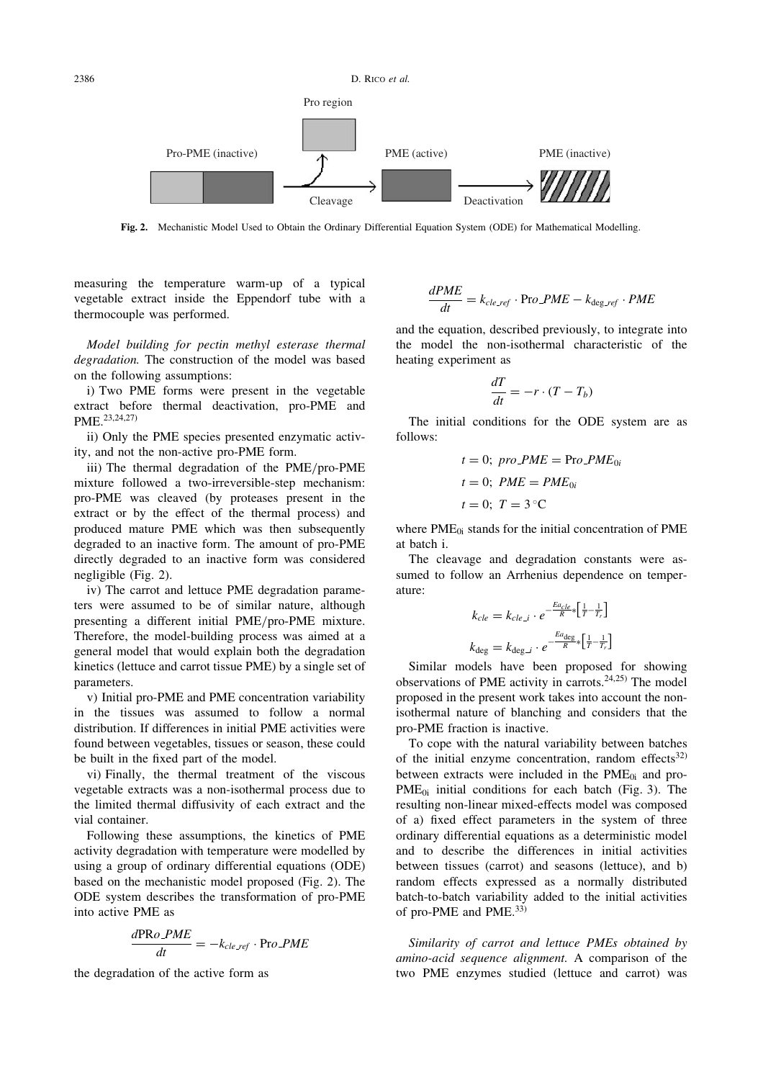

Fig. 2. Mechanistic Model Used to Obtain the Ordinary Differential Equation System (ODE) for Mathematical Modelling.

measuring the temperature warm-up of a typical vegetable extract inside the Eppendorf tube with a thermocouple was performed.

Model building for pectin methyl esterase thermal degradation. The construction of the model was based on the following assumptions:

i) Two PME forms were present in the vegetable extract before thermal deactivation, pro-PME and PME.23,24,27)

ii) Only the PME species presented enzymatic activity, and not the non-active pro-PME form.

iii) The thermal degradation of the PME/pro-PME mixture followed a two-irreversible-step mechanism: pro-PME was cleaved (by proteases present in the extract or by the effect of the thermal process) and produced mature PME which was then subsequently degraded to an inactive form. The amount of pro-PME directly degraded to an inactive form was considered negligible (Fig. 2).

iv) The carrot and lettuce PME degradation parameters were assumed to be of similar nature, although presenting a different initial PME/pro-PME mixture. Therefore, the model-building process was aimed at a general model that would explain both the degradation kinetics (lettuce and carrot tissue PME) by a single set of parameters.

v) Initial pro-PME and PME concentration variability in the tissues was assumed to follow a normal distribution. If differences in initial PME activities were found between vegetables, tissues or season, these could be built in the fixed part of the model.

vi) Finally, the thermal treatment of the viscous vegetable extracts was a non-isothermal process due to the limited thermal diffusivity of each extract and the vial container.

Following these assumptions, the kinetics of PME activity degradation with temperature were modelled by using a group of ordinary differential equations (ODE) based on the mechanistic model proposed (Fig. 2). The ODE system describes the transformation of pro-PME into active PME as

$$
\frac{d\text{PR}o\_PME}{dt} = -k_{cle\_ref} \cdot \text{Pro\_PME}
$$

the degradation of the active form as

$$
\frac{dPME}{dt} = k_{cle\_ref} \cdot \text{Pro\_PME} - k_{deg\_ref} \cdot PME
$$

and the equation, described previously, to integrate into the model the non-isothermal characteristic of the heating experiment as

$$
\frac{dT}{dt} = -r \cdot (T - T_b)
$$

The initial conditions for the ODE system are as follows:

$$
t = 0; \text{ pro\_PME} = \text{Pro\_PME}_{0i}
$$

$$
t = 0; \text{ PME} = \text{PME}_{0i}
$$

$$
t = 0; \text{ T} = 3^{\circ}\text{C}
$$

where  $PME<sub>0i</sub>$  stands for the initial concentration of  $PME$ at batch i.

The cleavage and degradation constants were assumed to follow an Arrhenius dependence on temperature:

$$
k_{cle} = k_{cle\_i} \cdot e^{-\frac{E_{dc}}{R} \times \left[\frac{1}{T} - \frac{1}{T_r}\right]}
$$

$$
k_{\text{deg}} = k_{\text{deg\_i}} \cdot e^{-\frac{E_{dc}}{R} \times \left[\frac{1}{T} - \frac{1}{T_r}\right]}
$$

Similar models have been proposed for showing observations of PME activity in carrots.<sup>24,25)</sup> The model proposed in the present work takes into account the nonisothermal nature of blanching and considers that the pro-PME fraction is inactive.

To cope with the natural variability between batches of the initial enzyme concentration, random effects<sup>32)</sup> between extracts were included in the  $PME_{0i}$  and pro- $PME_{0i}$  initial conditions for each batch (Fig. 3). The resulting non-linear mixed-effects model was composed of a) fixed effect parameters in the system of three ordinary differential equations as a deterministic model and to describe the differences in initial activities between tissues (carrot) and seasons (lettuce), and b) random effects expressed as a normally distributed batch-to-batch variability added to the initial activities of pro-PME and PME.<sup>33)</sup>

Similarity of carrot and lettuce PMEs obtained by amino-acid sequence alignment. A comparison of the two PME enzymes studied (lettuce and carrot) was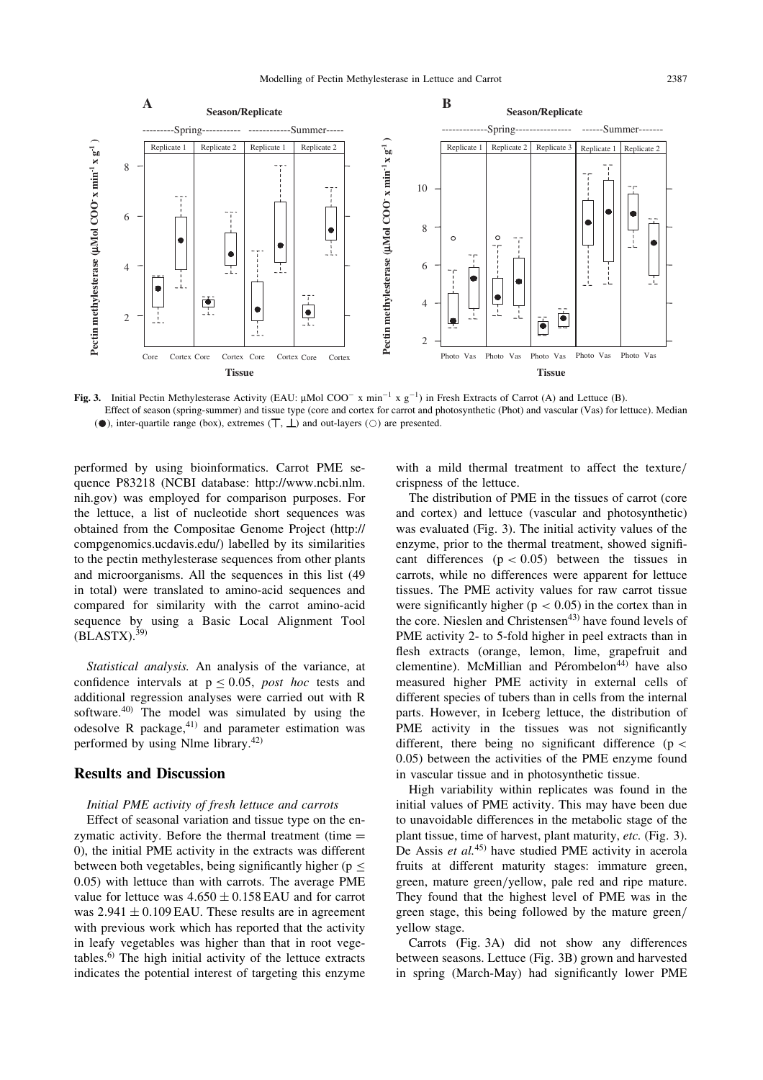

Fig. 3. Initial Pectin Methylesterase Activity (EAU:  $\mu$ Mol COO<sup>-</sup> x min<sup>-1</sup> x g<sup>-1</sup>) in Fresh Extracts of Carrot (A) and Lettuce (B). Effect of season (spring-summer) and tissue type (core and cortex for carrot and photosynthetic (Phot) and vascular (Vas) for lettuce). Median ( $\bullet$ ), inter-quartile range (box), extremes  $(\top, \bot)$  and out-layers ( $\circ$ ) are presented.

performed by using bioinformatics. Carrot PME sequence P83218 (NCBI database: http://www.ncbi.nlm. nih.gov) was employed for comparison purposes. For the lettuce, a list of nucleotide short sequences was obtained from the Compositae Genome Project (http:// compgenomics.ucdavis.edu/) labelled by its similarities to the pectin methylesterase sequences from other plants and microorganisms. All the sequences in this list (49 in total) were translated to amino-acid sequences and compared for similarity with the carrot amino-acid sequence by using a Basic Local Alignment Tool  $(BLASTX).^{39}$ 

Statistical analysis. An analysis of the variance, at confidence intervals at  $p < 0.05$ , post hoc tests and additional regression analyses were carried out with R software.<sup>40)</sup> The model was simulated by using the odesolve R package, $41)$  and parameter estimation was performed by using Nlme library.42)

### Results and Discussion

#### Initial PME activity of fresh lettuce and carrots

Effect of seasonal variation and tissue type on the enzymatic activity. Before the thermal treatment (time  $=$ 0), the initial PME activity in the extracts was different between both vegetables, being significantly higher ( $p \leq$ 0:05) with lettuce than with carrots. The average PME value for lettuce was  $4.650 \pm 0.158$  EAU and for carrot was  $2.941 \pm 0.109$  EAU. These results are in agreement with previous work which has reported that the activity in leafy vegetables was higher than that in root vegetables.6) The high initial activity of the lettuce extracts indicates the potential interest of targeting this enzyme with a mild thermal treatment to affect the texture/ crispness of the lettuce.

The distribution of PME in the tissues of carrot (core and cortex) and lettuce (vascular and photosynthetic) was evaluated (Fig. 3). The initial activity values of the enzyme, prior to the thermal treatment, showed significant differences  $(p < 0.05)$  between the tissues in carrots, while no differences were apparent for lettuce tissues. The PME activity values for raw carrot tissue were significantly higher ( $p < 0.05$ ) in the cortex than in the core. Nieslen and Christensen $43$  have found levels of PME activity 2- to 5-fold higher in peel extracts than in flesh extracts (orange, lemon, lime, grapefruit and clementine). McMillian and Pérombelon<sup>44)</sup> have also measured higher PME activity in external cells of different species of tubers than in cells from the internal parts. However, in Iceberg lettuce, the distribution of PME activity in the tissues was not significantly different, there being no significant difference ( $p <$ 0:05) between the activities of the PME enzyme found in vascular tissue and in photosynthetic tissue.

High variability within replicates was found in the initial values of PME activity. This may have been due to unavoidable differences in the metabolic stage of the plant tissue, time of harvest, plant maturity, etc. (Fig. 3). De Assis et  $al$ <sup>45)</sup> have studied PME activity in acerola fruits at different maturity stages: immature green, green, mature green/yellow, pale red and ripe mature. They found that the highest level of PME was in the green stage, this being followed by the mature green/ yellow stage.

Carrots (Fig. 3A) did not show any differences between seasons. Lettuce (Fig. 3B) grown and harvested in spring (March-May) had significantly lower PME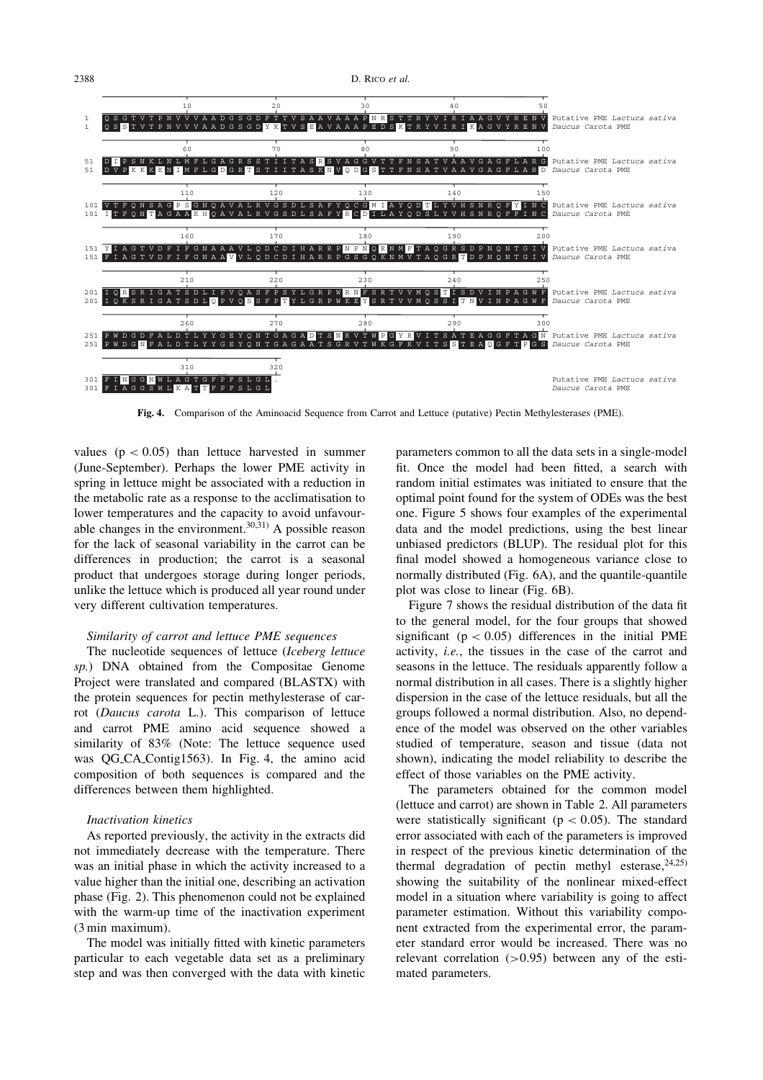

Fig. 4. Comparison of the Aminoacid Sequence from Carrot and Lettuce (putative) Pectin Methylesterases (PME).

values ( $p < 0.05$ ) than lettuce harvested in summer (June-September). Perhaps the lower PME activity in spring in lettuce might be associated with a reduction in the metabolic rate as a response to the acclimatisation to lower temperatures and the capacity to avoid unfavourable changes in the environment.<sup>30,31)</sup> A possible reason for the lack of seasonal variability in the carrot can be differences in production; the carrot is a seasonal product that undergoes storage during longer periods, unlike the lettuce which is produced all year round under very different cultivation temperatures.

### Similarity of carrot and lettuce PME sequences

The nucleotide sequences of lettuce (Iceberg lettuce sp.) DNA obtained from the Compositae Genome Project were translated and compared (BLASTX) with the protein sequences for pectin methylesterase of carrot (Daucus carota L.). This comparison of lettuce and carrot PME amino acid sequence showed a similarity of 83% (Note: The lettuce sequence used was QG CA Contig1563). In Fig. 4, the amino acid composition of both sequences is compared and the differences between them highlighted.

#### Inactivation kinetics

As reported previously, the activity in the extracts did not immediately decrease with the temperature. There was an initial phase in which the activity increased to a value higher than the initial one, describing an activation phase (Fig. 2). This phenomenon could not be explained with the warm-up time of the inactivation experiment (3 min maximum).

The model was initially fitted with kinetic parameters particular to each vegetable data set as a preliminary step and was then converged with the data with kinetic

parameters common to all the data sets in a single-model fit. Once the model had been fitted, a search with random initial estimates was initiated to ensure that the optimal point found for the system of ODEs was the best one. Figure 5 shows four examples of the experimental data and the model predictions, using the best linear unbiased predictors (BLUP). The residual plot for this final model showed a homogeneous variance close to normally distributed (Fig. 6A), and the quantile-quantile plot was close to linear (Fig. 6B).

Figure 7 shows the residual distribution of the data fit to the general model, for the four groups that showed significant ( $p < 0.05$ ) differences in the initial PME activity, i.e., the tissues in the case of the carrot and seasons in the lettuce. The residuals apparently follow a normal distribution in all cases. There is a slightly higher dispersion in the case of the lettuce residuals, but all the groups followed a normal distribution. Also, no dependence of the model was observed on the other variables studied of temperature, season and tissue (data not shown), indicating the model reliability to describe the effect of those variables on the PME activity.

The parameters obtained for the common model (lettuce and carrot) are shown in Table 2. All parameters were statistically significant ( $p < 0.05$ ). The standard error associated with each of the parameters is improved in respect of the previous kinetic determination of the thermal degradation of pectin methyl esterase,  $24,25$ ) showing the suitability of the nonlinear mixed-effect model in a situation where variability is going to affect parameter estimation. Without this variability component extracted from the experimental error, the parameter standard error would be increased. There was no relevant correlation  $(>0.95)$  between any of the estimated parameters.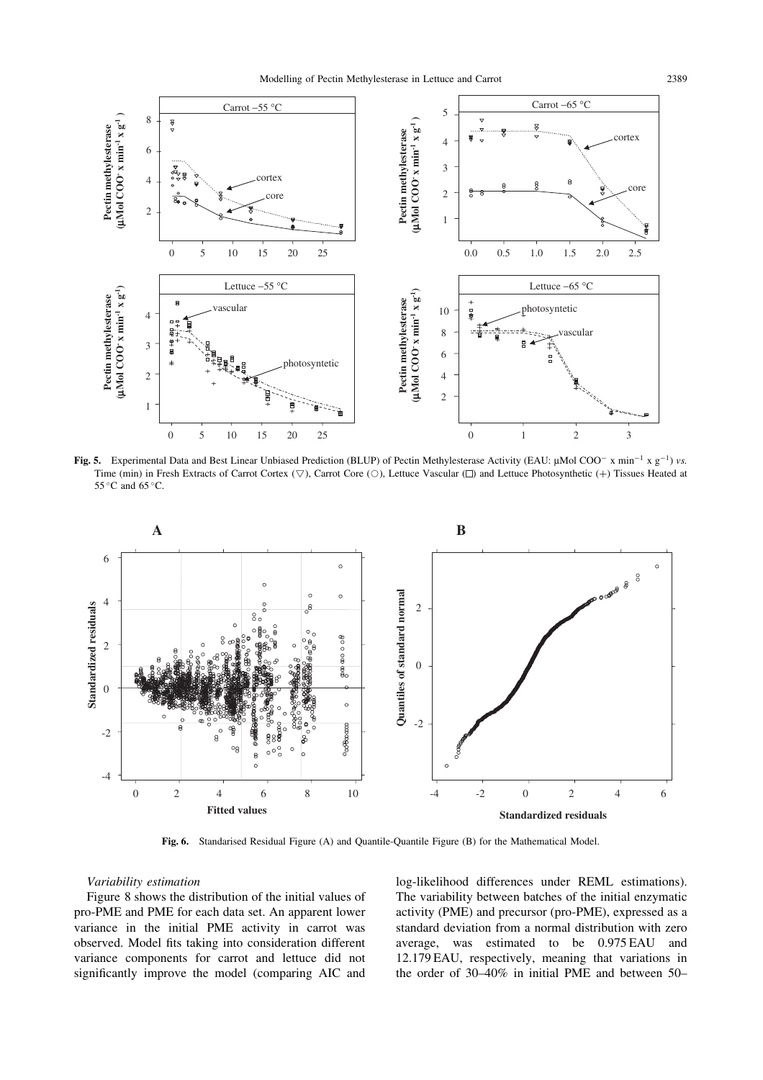

Fig. 5. Experimental Data and Best Linear Unbiased Prediction (BLUP) of Pectin Methylesterase Activity (EAU:  $\mu$ Mol COO<sup>-</sup> x min<sup>-1</sup> x g<sup>-1</sup>) vs. Time (min) in Fresh Extracts of Carrot Cortex ( $\nabla$ ), Carrot Core ( $\odot$ ), Lettuce Vascular ( $\square$ ) and Lettuce Photosynthetic (+) Tissues Heated at 55 °C and 65 °C.



Fig. 6. Standarised Residual Figure (A) and Quantile-Quantile Figure (B) for the Mathematical Model.

### Variability estimation

Figure 8 shows the distribution of the initial values of pro-PME and PME for each data set. An apparent lower variance in the initial PME activity in carrot was observed. Model fits taking into consideration different variance components for carrot and lettuce did not significantly improve the model (comparing AIC and

log-likelihood differences under REML estimations). The variability between batches of the initial enzymatic activity (PME) and precursor (pro-PME), expressed as a standard deviation from a normal distribution with zero average, was estimated to be 0.975 EAU and 12.179 EAU, respectively, meaning that variations in the order of 30–40% in initial PME and between 50–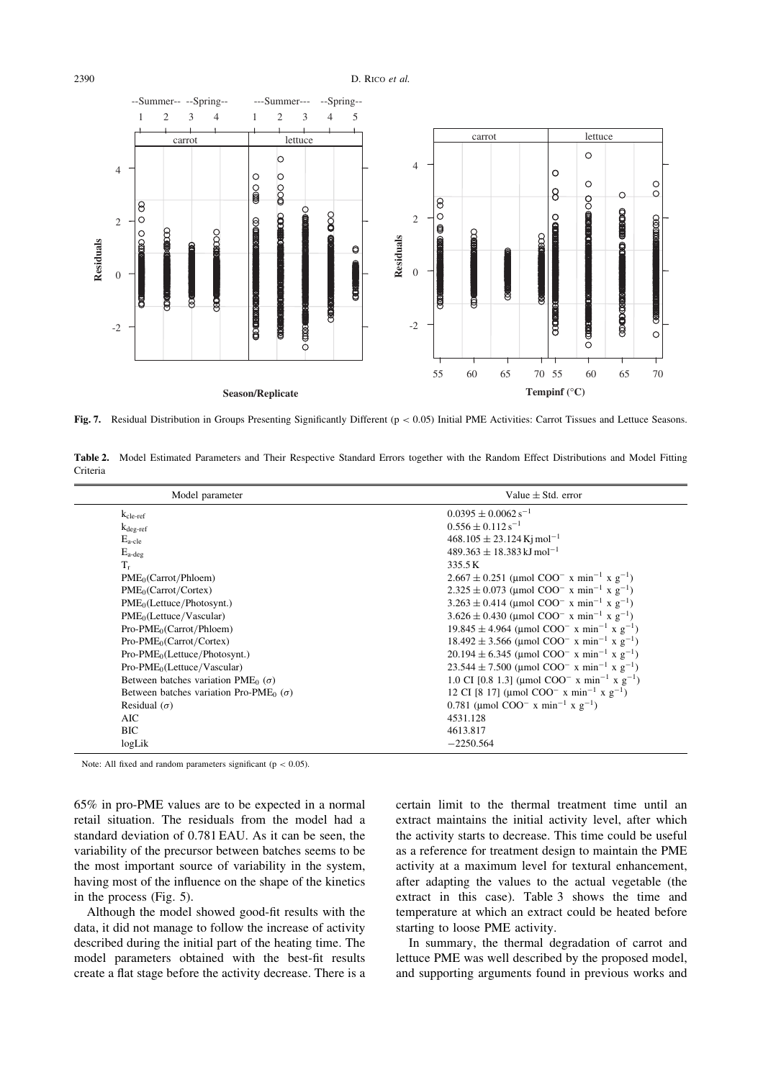#### 2390 D. RICO et al.



Fig. 7. Residual Distribution in Groups Presenting Significantly Different (p < 0.05) Initial PME Activities: Carrot Tissues and Lettuce Seasons.

Table 2. Model Estimated Parameters and Their Respective Standard Errors together with the Random Effect Distributions and Model Fitting Criteria

| Model parameter                                             | Value $\pm$ Std. error                                                            |  |
|-------------------------------------------------------------|-----------------------------------------------------------------------------------|--|
| $k_{\text{cle-ref}}$                                        | $0.0395 \pm 0.0062$ s <sup>-1</sup>                                               |  |
| $k_{\text{deg-ref}}$                                        | $0.556 \pm 0.112$ s <sup>-1</sup>                                                 |  |
| $E_{\text{a-cle}}$                                          | $468.105 \pm 23.124$ Ki mol <sup>-1</sup>                                         |  |
| $E_{a-deg}$                                                 | $489.363 + 18.383$ kJ mol <sup>-1</sup>                                           |  |
| $T_r$                                                       | 335.5K                                                                            |  |
| PME <sub>0</sub> (Carrot/Phloem)                            | $2.667 \pm 0.251$ (µmol COO <sup>-</sup> x min <sup>-1</sup> x g <sup>-1</sup> )  |  |
| PME <sub>0</sub> (Carrot/Cortex)                            | $2.325 \pm 0.073$ (µmol COO <sup>-</sup> x min <sup>-1</sup> x g <sup>-1</sup> )  |  |
| PME <sub>0</sub> (Lettuce/Photosynt.)                       | $3.263 \pm 0.414$ (µmol COO <sup>-</sup> x min <sup>-1</sup> x g <sup>-1</sup> )  |  |
| PME <sub>0</sub> (Lettuce/Vascular)                         | $3.626 \pm 0.430$ (µmol COO <sup>-</sup> x min <sup>-1</sup> x g <sup>-1</sup> )  |  |
| $Pro-PME0(Carrot/Phloem)$                                   | $19.845 \pm 4.964$ (umol COO <sup>-</sup> x min <sup>-1</sup> x g <sup>-1</sup> ) |  |
| $Pro-PME0(Carrot/Cortex)$                                   | $18.492 \pm 3.566$ (µmol COO <sup>-</sup> x min <sup>-1</sup> x g <sup>-1</sup> ) |  |
| $Pro-PME0(Lettuce/Photosynt.)$                              | $20.194 \pm 6.345$ (µmol COO <sup>-</sup> x min <sup>-1</sup> x g <sup>-1</sup> ) |  |
| $Pro-PME0(Lettuce/Vascular)$                                | $23.544 \pm 7.500$ (µmol COO <sup>-</sup> x min <sup>-1</sup> x g <sup>-1</sup> ) |  |
| Between batches variation PME <sub>0</sub> ( $\sigma$ )     | 1.0 CI [0.8 1.3] (µmol COO <sup>-</sup> x min <sup>-1</sup> x g <sup>-1</sup> )   |  |
| Between batches variation Pro-PME <sub>0</sub> ( $\sigma$ ) | 12 CI [8 17] (µmol COO <sup>-</sup> x min <sup>-1</sup> x g <sup>-1</sup> )       |  |
| Residual $(\sigma)$                                         | 0.781 (µmol COO <sup>-</sup> x min <sup>-1</sup> x g <sup>-1</sup> )              |  |
| <b>AIC</b>                                                  | 4531.128                                                                          |  |
| <b>BIC</b>                                                  | 4613.817                                                                          |  |
| logLik                                                      | $-2250.564$                                                                       |  |

Note: All fixed and random parameters significant ( $p < 0.05$ ).

65% in pro-PME values are to be expected in a normal retail situation. The residuals from the model had a standard deviation of 0.781 EAU. As it can be seen, the variability of the precursor between batches seems to be the most important source of variability in the system, having most of the influence on the shape of the kinetics in the process (Fig. 5).

Although the model showed good-fit results with the data, it did not manage to follow the increase of activity described during the initial part of the heating time. The model parameters obtained with the best-fit results create a flat stage before the activity decrease. There is a certain limit to the thermal treatment time until an extract maintains the initial activity level, after which the activity starts to decrease. This time could be useful as a reference for treatment design to maintain the PME activity at a maximum level for textural enhancement, after adapting the values to the actual vegetable (the extract in this case). Table 3 shows the time and temperature at which an extract could be heated before starting to loose PME activity.

In summary, the thermal degradation of carrot and lettuce PME was well described by the proposed model, and supporting arguments found in previous works and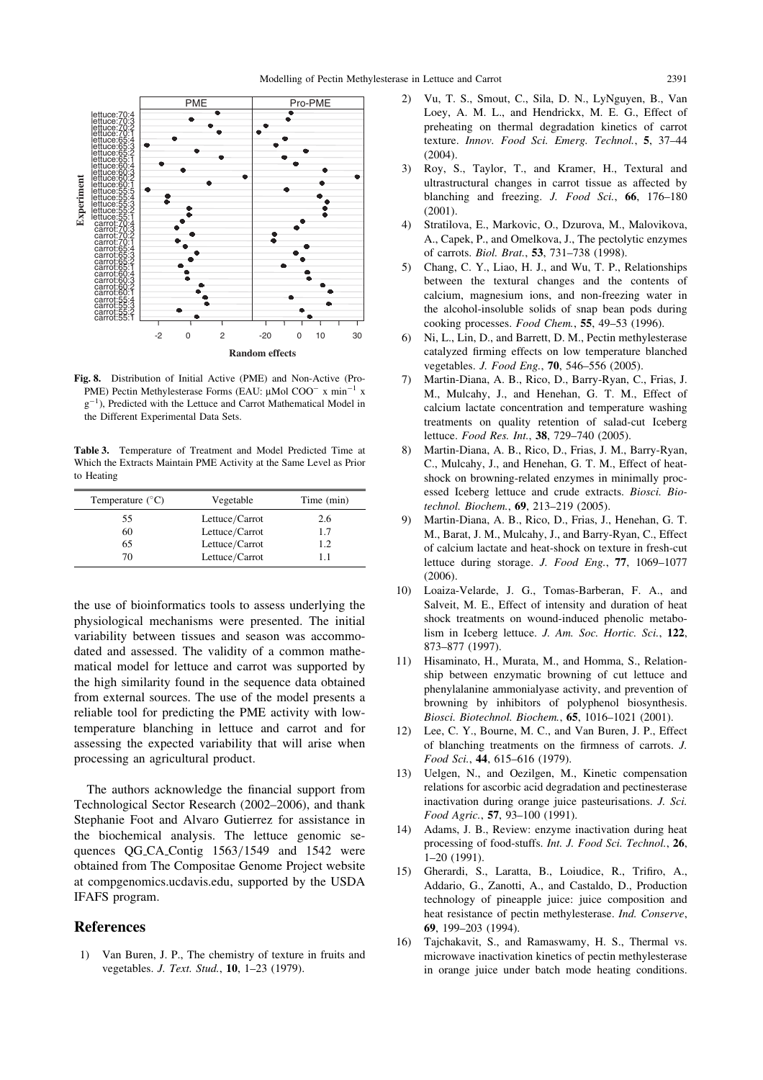

Fig. 8. Distribution of Initial Active (PME) and Non-Active (Pro-PME) Pectin Methylesterase Forms (EAU:  $\mu$ Mol COO<sup>-</sup> x min<sup>-1</sup> x  $g^{-1}$ ), Predicted with the Lettuce and Carrot Mathematical Model in the Different Experimental Data Sets.

Table 3. Temperature of Treatment and Model Predicted Time at Which the Extracts Maintain PME Activity at the Same Level as Prior to Heating

| Temperature $(^{\circ}C)$ | Vegetable      | Time (min) |
|---------------------------|----------------|------------|
| 55                        | Lettuce/Carrot | 2.6        |
| 60                        | Lettuce/Carrot | 17         |
| 65                        | Lettuce/Carrot | 1.2        |
| 70                        | Lettuce/Carrot | 11         |

the use of bioinformatics tools to assess underlying the physiological mechanisms were presented. The initial variability between tissues and season was accommodated and assessed. The validity of a common mathematical model for lettuce and carrot was supported by the high similarity found in the sequence data obtained from external sources. The use of the model presents a reliable tool for predicting the PME activity with lowtemperature blanching in lettuce and carrot and for assessing the expected variability that will arise when processing an agricultural product.

The authors acknowledge the financial support from Technological Sector Research (2002–2006), and thank Stephanie Foot and Alvaro Gutierrez for assistance in the biochemical analysis. The lettuce genomic sequences QG CA Contig 1563/1549 and 1542 were obtained from The Compositae Genome Project website at compgenomics.ucdavis.edu, supported by the USDA IFAFS program.

## References

1) Van Buren, J. P., The chemistry of texture in fruits and vegetables. J. Text. Stud., 10, 1–23 (1979).

- 2) Vu, T. S., Smout, C., Sila, D. N., LyNguyen, B., Van Loey, A. M. L., and Hendrickx, M. E. G., Effect of preheating on thermal degradation kinetics of carrot texture. Innov. Food Sci. Emerg. Technol., 5, 37–44 (2004).
- 3) Roy, S., Taylor, T., and Kramer, H., Textural and ultrastructural changes in carrot tissue as affected by blanching and freezing. J. Food Sci., 66, 176-180 (2001).
- 4) Stratilova, E., Markovic, O., Dzurova, M., Malovikova, A., Capek, P., and Omelkova, J., The pectolytic enzymes of carrots. Biol. Brat., 53, 731–738 (1998).
- 5) Chang, C. Y., Liao, H. J., and Wu, T. P., Relationships between the textural changes and the contents of calcium, magnesium ions, and non-freezing water in the alcohol-insoluble solids of snap bean pods during cooking processes. Food Chem., 55, 49–53 (1996).
- 6) Ni, L., Lin, D., and Barrett, D. M., Pectin methylesterase catalyzed firming effects on low temperature blanched vegetables. *J. Food Eng.*, **70**, 546-556 (2005).
- 7) Martin-Diana, A. B., Rico, D., Barry-Ryan, C., Frias, J. M., Mulcahy, J., and Henehan, G. T. M., Effect of calcium lactate concentration and temperature washing treatments on quality retention of salad-cut Iceberg lettuce. Food Res. Int., 38, 729–740 (2005).
- 8) Martin-Diana, A. B., Rico, D., Frias, J. M., Barry-Ryan, C., Mulcahy, J., and Henehan, G. T. M., Effect of heatshock on browning-related enzymes in minimally processed Iceberg lettuce and crude extracts. Biosci. Biotechnol. Biochem., 69, 213–219 (2005).
- 9) Martin-Diana, A. B., Rico, D., Frias, J., Henehan, G. T. M., Barat, J. M., Mulcahy, J., and Barry-Ryan, C., Effect of calcium lactate and heat-shock on texture in fresh-cut lettuce during storage. J. Food Eng., 77, 1069–1077 (2006).
- 10) Loaiza-Velarde, J. G., Tomas-Barberan, F. A., and Salveit, M. E., Effect of intensity and duration of heat shock treatments on wound-induced phenolic metabolism in Iceberg lettuce. J. Am. Soc. Hortic. Sci., 122, 873–877 (1997).
- 11) Hisaminato, H., Murata, M., and Homma, S., Relationship between enzymatic browning of cut lettuce and phenylalanine ammonialyase activity, and prevention of browning by inhibitors of polyphenol biosynthesis. Biosci. Biotechnol. Biochem., 65, 1016–1021 (2001).
- 12) Lee, C. Y., Bourne, M. C., and Van Buren, J. P., Effect of blanching treatments on the firmness of carrots. J. Food Sci., 44, 615–616 (1979).
- 13) Uelgen, N., and Oezilgen, M., Kinetic compensation relations for ascorbic acid degradation and pectinesterase inactivation during orange juice pasteurisations. J. Sci. Food Agric., 57, 93–100 (1991).
- 14) Adams, J. B., Review: enzyme inactivation during heat processing of food-stuffs. Int. J. Food Sci. Technol., 26, 1–20 (1991).
- 15) Gherardi, S., Laratta, B., Loiudice, R., Trifiro, A., Addario, G., Zanotti, A., and Castaldo, D., Production technology of pineapple juice: juice composition and heat resistance of pectin methylesterase. Ind. Conserve, 69, 199–203 (1994).
- 16) Tajchakavit, S., and Ramaswamy, H. S., Thermal vs. microwave inactivation kinetics of pectin methylesterase in orange juice under batch mode heating conditions.